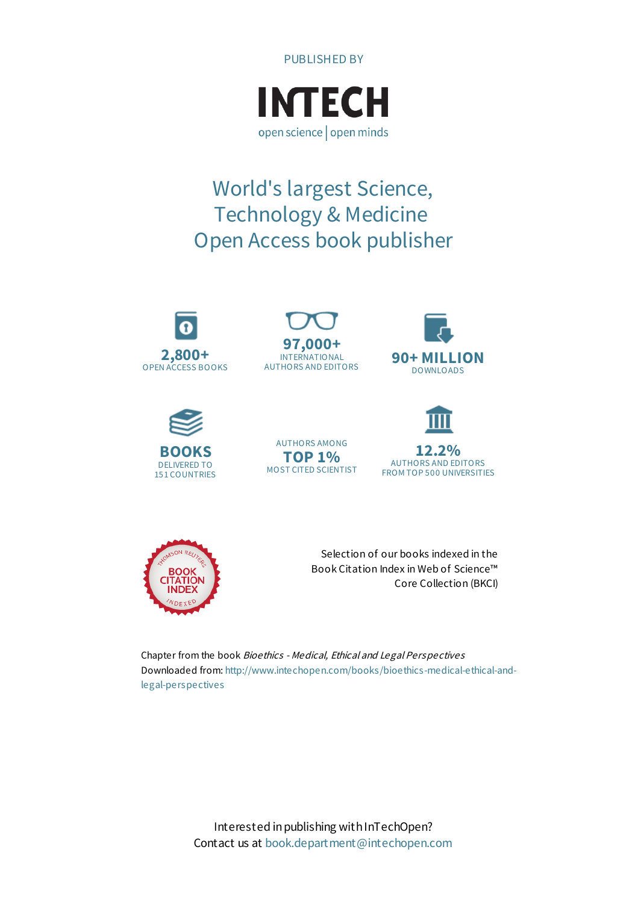



# World's largest Science, Technology & Medicine Open Access book publisher















Selection of our books indexed in the Book Citation Index in Web of Science™ Core Collection (BKCI)

Chapter from the book Bioethics - Medical, Ethical and Legal Perspectives Downloaded from: [http://www.intechopen.com/books/bioethics-medical-ethical-and](http://www.intechopen.com/books/bioethics-medical-ethical-and-legal-perspectives)legal-perspectives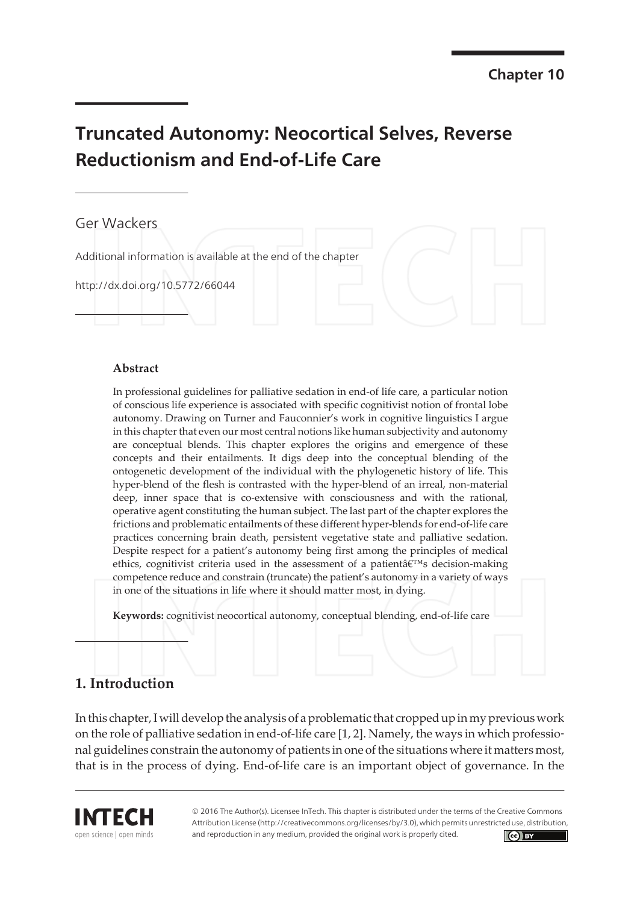## **Truncated Autonomy: Neocortical Selves, Reverse Reductionism and End-of-Life Care**

## Ger Wackers

Additional information is available at the end of the chapter

http://dx.doi.org/10.5772/66044

#### Abstract

In professional guidelines for palliative sedation in end-of life care, a particular notion of conscious life experience is associated with specific cognitivist notion of frontal lobe autonomy. Drawing on Turner and Fauconnier's work in cognitive linguistics I argue in this chapter that even our most central notions like human subjectivity and autonomy are conceptual blends. This chapter explores the origins and emergence of these concepts and their entailments. It digs deep into the conceptual blending of the ontogenetic development of the individual with the phylogenetic history of life. This hyper-blend of the flesh is contrasted with the hyper-blend of an irreal, non-material deep, inner space that is co-extensive with consciousness and with the rational, operative agent constituting the human subject. The last part of the chapter explores the frictions and problematic entailments of these different hyper-blends for end-of-life care practices concerning brain death, persistent vegetative state and palliative sedation. Despite respect for a patient's autonomy being first among the principles of medical ethics, cognitivist criteria used in the assessment of a patient's decision-making competence reduce and constrain (truncate) the patient's autonomy in a variety of ways in one of the situations in life where it should matter most, in dying.

Keywords: cognitivist neocortical autonomy, conceptual blending, end-of-life care

## 1. Introduction

In this chapter, I will develop the analysis of a problematic that cropped up in my previous work on the role of palliative sedation in end-of-life care [1, 2]. Namely, the ways in which professional guidelines constrain the autonomy of patients in one of the situations where it matters most, that is in the process of dying. End-of-life care is an important object of governance. In the

open science | open minds

© 2016 The Author(s). Licensee InTech. This chapter is distributed under the terms of the Creative Commons Attribution License (http://creativecommons.org/licenses/by/3.0), which permits unrestricted use, distribution, and reproduction in any medium, provided the original work is properly cited.  $\left($ cc) EY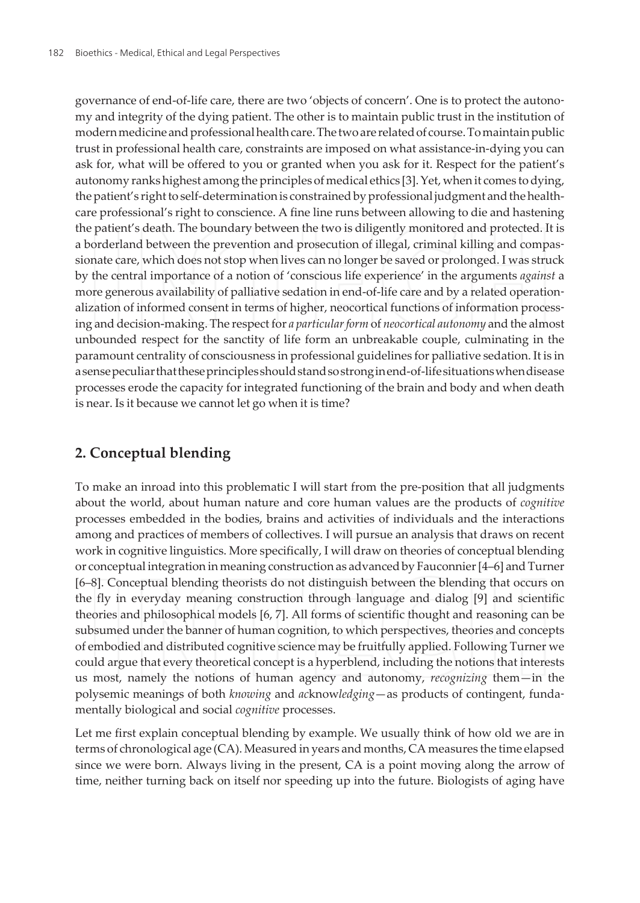governance of end-of-life care, there are two 'objects of concern'. One is to protect the autonomy and integrity of the dying patient. The other is to maintain public trust in the institution of modern medicine and professional health care. The two are related of course. To maintain public trust in professional health care, constraints are imposed on what assistance-in-dying you can ask for, what will be offered to you or granted when you ask for it. Respect for the patient's autonomy ranks highest among the principles of medical ethics [3]. Yet, when it comes to dying, the patient's right to self-determination is constrained by professional judgment and the healthcare professional's right to conscience. A fine line runs between allowing to die and hastening the patient's death. The boundary between the two is diligently monitored and protected. It is a borderland between the prevention and prosecution of illegal, criminal killing and compassionate care, which does not stop when lives can no longer be saved or prolonged. I was struck by the central importance of a notion of 'conscious life experience' in the arguments *against* a more generous availability of palliative sedation in end-of-life care and by a related operationalization of informed consent in terms of higher, neocortical functions of information processing and decision-making. The respect for a particular form of neocortical autonomy and the almost unbounded respect for the sanctity of life form an unbreakable couple, culminating in the paramount centrality of consciousness in professional guidelines for palliative sedation. It is in a sense peculiar that these principles should stand so strong in end-of-life situations when disease processes erode the capacity for integrated functioning of the brain and body and when death is near. Is it because we cannot let go when it is time?

## 2. Conceptual blending

To make an inroad into this problematic I will start from the pre-position that all judgments about the world, about human nature and core human values are the products of cognitive processes embedded in the bodies, brains and activities of individuals and the interactions among and practices of members of collectives. I will pursue an analysis that draws on recent work in cognitive linguistics. More specifically, I will draw on theories of conceptual blending or conceptual integration in meaning construction as advanced by Fauconnier [4-6] and Turner [6-8]. Conceptual blending theorists do not distinguish between the blending that occurs on the fly in everyday meaning construction through language and dialog [9] and scientific theories and philosophical models [6, 7]. All forms of scientific thought and reasoning can be subsumed under the banner of human cognition, to which perspectives, theories and concepts of embodied and distributed cognitive science may be fruitfully applied. Following Turner we could argue that every theoretical concept is a hyperblend, including the notions that interests us most, namely the notions of human agency and autonomy, recognizing them-in the polysemic meanings of both knowing and acknowledging - as products of contingent, fundamentally biological and social cognitive processes.

Let me first explain conceptual blending by example. We usually think of how old we are in terms of chronological age (CA). Measured in years and months, CA measures the time elapsed since we were born. Always living in the present, CA is a point moving along the arrow of time, neither turning back on itself nor speeding up into the future. Biologists of aging have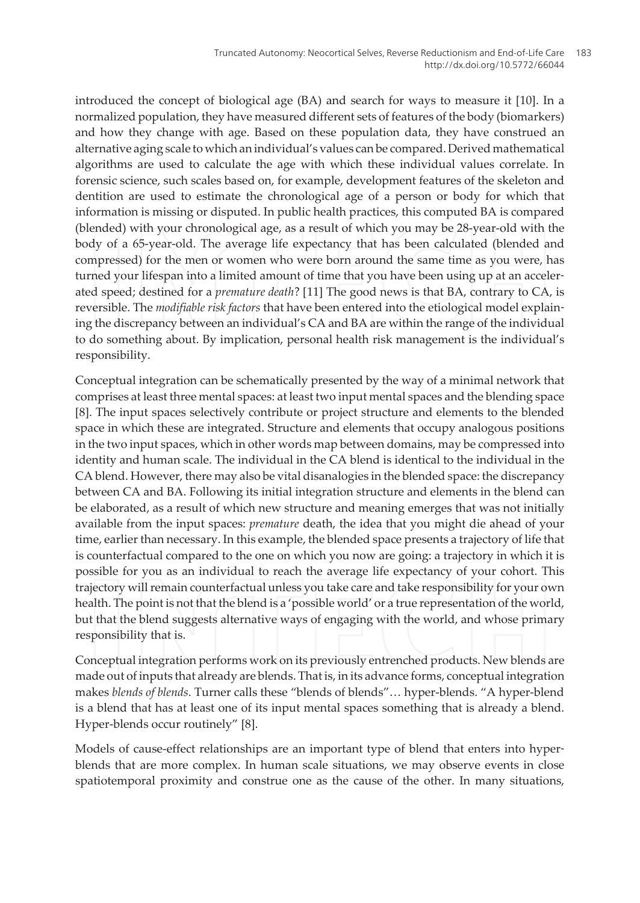introduced the concept of biological age (BA) and search for ways to measure it [10]. In a normalized population, they have measured different sets of features of the body (biomarkers) and how they change with age. Based on these population data, they have construed an alternative aging scale to which an individual's values can be compared. Derived mathematical algorithms are used to calculate the age with which these individual values correlate. In forensic science, such scales based on, for example, development features of the skeleton and dentition are used to estimate the chronological age of a person or body for which that information is missing or disputed. In public health practices, this computed BA is compared (blended) with your chronological age, as a result of which you may be 28-year-old with the body of a 65-year-old. The average life expectancy that has been calculated (blended and compressed) for the men or women who were born around the same time as you were, has turned your lifespan into a limited amount of time that you have been using up at an accelerated speed; destined for a *premature death*? [11] The good news is that BA, contrary to CA, is reversible. The *modifiable risk factors* that have been entered into the etiological model explaining the discrepancy between an individual's CA and BA are within the range of the individual to do something about. By implication, personal health risk management is the individual's responsibility.

Conceptual integration can be schematically presented by the way of a minimal network that comprises at least three mental spaces: at least two input mental spaces and the blending space [8]. The input spaces selectively contribute or project structure and elements to the blended space in which these are integrated. Structure and elements that occupy analogous positions in the two input spaces, which in other words map between domains, may be compressed into identity and human scale. The individual in the CA blend is identical to the individual in the CA blend. However, there may also be vital disanalogies in the blended space: the discrepancy between CA and BA. Following its initial integration structure and elements in the blend can be elaborated, as a result of which new structure and meaning emerges that was not initially available from the input spaces: *premature* death, the idea that you might die ahead of your time, earlier than necessary. In this example, the blended space presents a trajectory of life that is counterfactual compared to the one on which you now are going: a trajectory in which it is possible for you as an individual to reach the average life expectancy of your cohort. This trajectory will remain counterfactual unless you take care and take responsibility for your own health. The point is not that the blend is a 'possible world' or a true representation of the world, but that the blend suggests alternative ways of engaging with the world, and whose primary responsibility that is.

Conceptual integration performs work on its previously entrenched products. New blends are made out of inputs that already are blends. That is, in its advance forms, conceptual integration makes blends of blends. Turner calls these "blends of blends"... hyper-blends. "A hyper-blend is a blend that has at least one of its input mental spaces something that is already a blend. Hyper-blends occur routinely" [8].

Models of cause-effect relationships are an important type of blend that enters into hyperblends that are more complex. In human scale situations, we may observe events in close spatiotemporal proximity and construe one as the cause of the other. In many situations,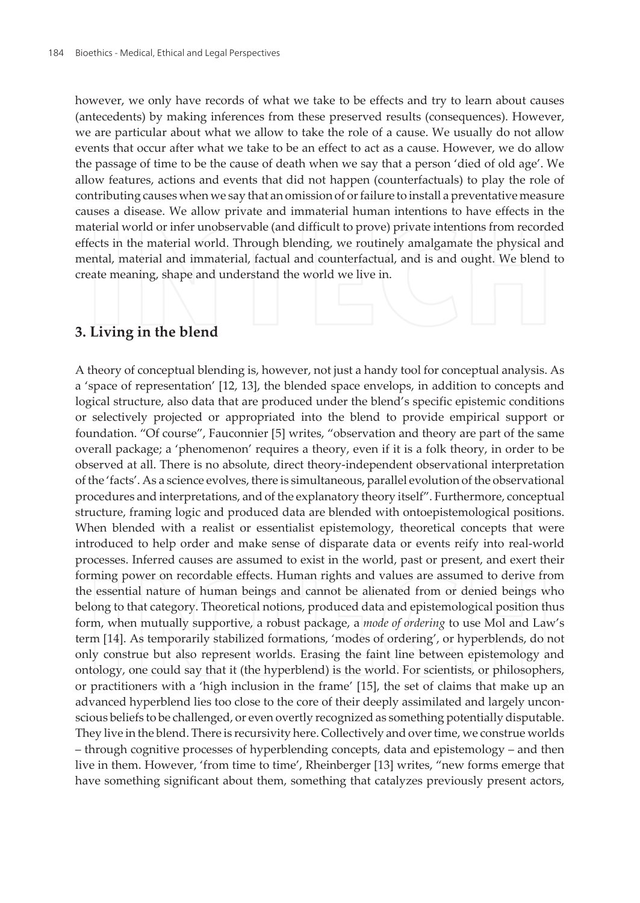however, we only have records of what we take to be effects and try to learn about causes (antecedents) by making inferences from these preserved results (consequences). However, we are particular about what we allow to take the role of a cause. We usually do not allow events that occur after what we take to be an effect to act as a cause. However, we do allow the passage of time to be the cause of death when we say that a person 'died of old age'. We allow features, actions and events that did not happen (counterfactuals) to play the role of contributing causes when we say that an omission of or failure to install a preventative measure causes a disease. We allow private and immaterial human intentions to have effects in the material world or infer unobservable (and difficult to prove) private intentions from recorded effects in the material world. Through blending, we routinely amalgamate the physical and mental, material and immaterial, factual and counterfactual, and is and ought. We blend to create meaning, shape and understand the world we live in.

#### 3. Living in the blend

A theory of conceptual blending is, however, not just a handy tool for conceptual analysis. As a 'space of representation' [12, 13], the blended space envelops, in addition to concepts and logical structure, also data that are produced under the blend's specific epistemic conditions or selectively projected or appropriated into the blend to provide empirical support or foundation. "Of course", Fauconnier [5] writes, "observation and theory are part of the same overall package; a 'phenomenon' requires a theory, even if it is a folk theory, in order to be observed at all. There is no absolute, direct theory-independent observational interpretation of the 'facts'. As a science evolves, there is simultaneous, parallel evolution of the observational procedures and interpretations, and of the explanatory theory itself". Furthermore, conceptual structure, framing logic and produced data are blended with ontoepistemological positions. When blended with a realist or essentialist epistemology, theoretical concepts that were introduced to help order and make sense of disparate data or events reify into real-world processes. Inferred causes are assumed to exist in the world, past or present, and exert their forming power on recordable effects. Human rights and values are assumed to derive from the essential nature of human beings and cannot be alienated from or denied beings who belong to that category. Theoretical notions, produced data and epistemological position thus form, when mutually supportive, a robust package, a mode of ordering to use Mol and Law's term [14]. As temporarily stabilized formations, 'modes of ordering', or hyperblends, do not only construe but also represent worlds. Erasing the faint line between epistemology and ontology, one could say that it (the hyperblend) is the world. For scientists, or philosophers, or practitioners with a 'high inclusion in the frame' [15], the set of claims that make up an advanced hyperblend lies too close to the core of their deeply assimilated and largely unconscious beliefs to be challenged, or even overtly recognized as something potentially disputable. They live in the blend. There is recursivity here. Collectively and over time, we construe worlds - through cognitive processes of hyperblending concepts, data and epistemology - and then live in them. However, 'from time to time', Rheinberger [13] writes, "new forms emerge that have something significant about them, something that catalyzes previously present actors,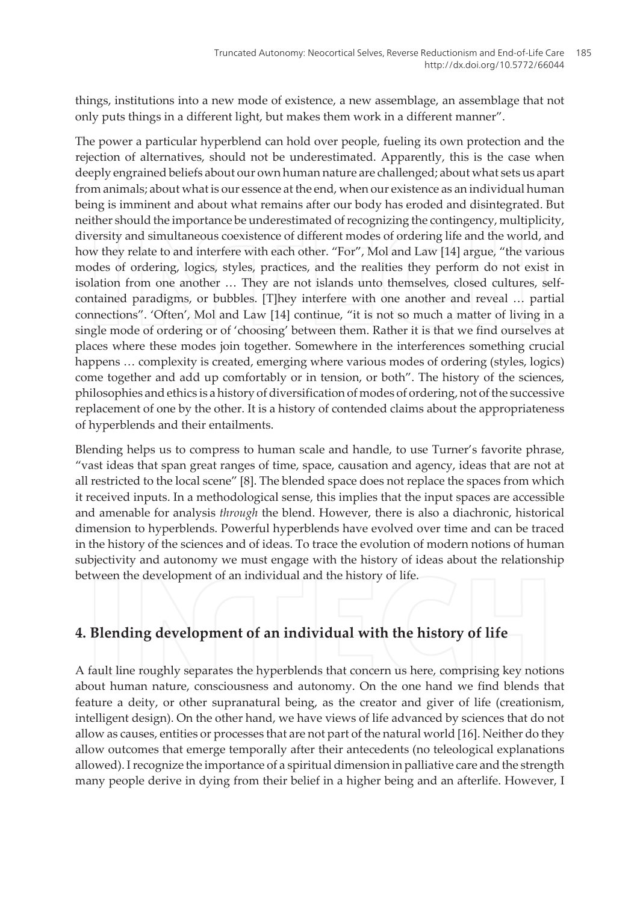things, institutions into a new mode of existence, a new assemblage, an assemblage that not only puts things in a different light, but makes them work in a different manner".

The power a particular hyperblend can hold over people, fueling its own protection and the rejection of alternatives, should not be underestimated. Apparently, this is the case when deeply engrained beliefs about our own human nature are challenged; about what sets us apart from animals; about what is our essence at the end, when our existence as an individual human being is imminent and about what remains after our body has eroded and disintegrated. But neither should the importance be underestimated of recognizing the contingency, multiplicity, diversity and simultaneous coexistence of different modes of ordering life and the world, and how they relate to and interfere with each other. "For", Mol and Law [14] argue, "the various modes of ordering, logics, styles, practices, and the realities they perform do not exist in isolation from one another ... They are not islands unto themselves, closed cultures, selfcontained paradigms, or bubbles. [T]hey interfere with one another and reveal ... partial connections". 'Often', Mol and Law [14] continue, "it is not so much a matter of living in a single mode of ordering or of 'choosing' between them. Rather it is that we find ourselves at places where these modes join together. Somewhere in the interferences something crucial happens ... complexity is created, emerging where various modes of ordering (styles, logics) come together and add up comfortably or in tension, or both". The history of the sciences, philosophies and ethics is a history of diversification of modes of ordering, not of the successive replacement of one by the other. It is a history of contended claims about the appropriateness of hyperblends and their entailments.

Blending helps us to compress to human scale and handle, to use Turner's favorite phrase, "vast ideas that span great ranges of time, space, causation and agency, ideas that are not at all restricted to the local scene" [8]. The blended space does not replace the spaces from which it received inputs. In a methodological sense, this implies that the input spaces are accessible and amenable for analysis through the blend. However, there is also a diachronic, historical dimension to hyperblends. Powerful hyperblends have evolved over time and can be traced in the history of the sciences and of ideas. To trace the evolution of modern notions of human subjectivity and autonomy we must engage with the history of ideas about the relationship between the development of an individual and the history of life.

### 4. Blending development of an individual with the history of life

A fault line roughly separates the hyperblends that concern us here, comprising key notions about human nature, consciousness and autonomy. On the one hand we find blends that feature a deity, or other supranatural being, as the creator and giver of life (creationism, intelligent design). On the other hand, we have views of life advanced by sciences that do not allow as causes, entities or processes that are not part of the natural world [16]. Neither do they allow outcomes that emerge temporally after their antecedents (no teleological explanations allowed). I recognize the importance of a spiritual dimension in palliative care and the strength many people derive in dying from their belief in a higher being and an afterlife. However, I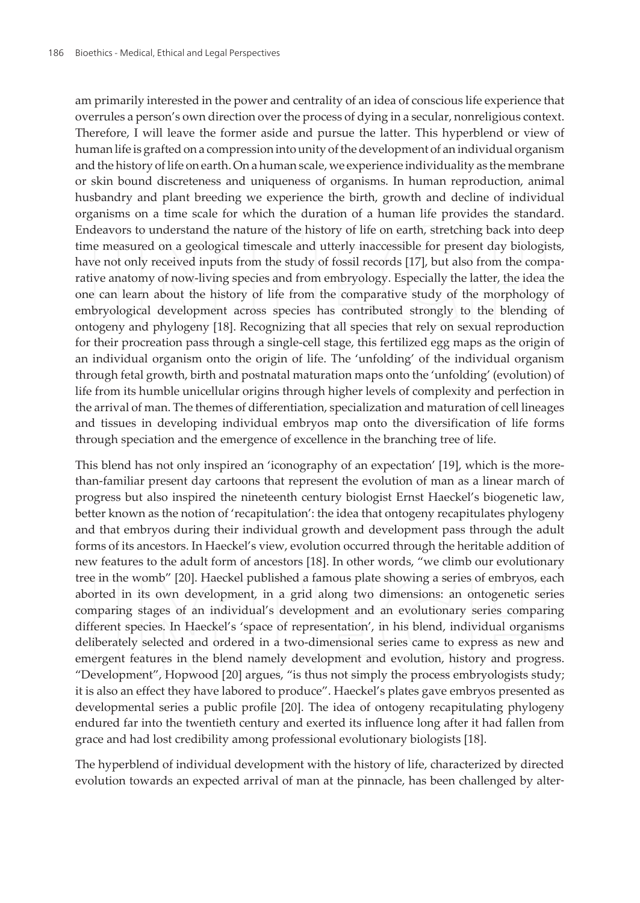am primarily interested in the power and centrality of an idea of conscious life experience that overrules a person's own direction over the process of dying in a secular, nonreligious context. Therefore, I will leave the former aside and pursue the latter. This hyperblend or view of human life is grafted on a compression into unity of the development of an individual organism and the history of life on earth. On a human scale, we experience individuality as the membrane or skin bound discreteness and uniqueness of organisms. In human reproduction, animal husbandry and plant breeding we experience the birth, growth and decline of individual organisms on a time scale for which the duration of a human life provides the standard. Endeavors to understand the nature of the history of life on earth, stretching back into deep time measured on a geological timescale and utterly inaccessible for present day biologists, have not only received inputs from the study of fossil records [17], but also from the comparative anatomy of now-living species and from embryology. Especially the latter, the idea the one can learn about the history of life from the comparative study of the morphology of embryological development across species has contributed strongly to the blending of ontogeny and phylogeny [18]. Recognizing that all species that rely on sexual reproduction for their procreation pass through a single-cell stage, this fertilized egg maps as the origin of an individual organism onto the origin of life. The 'unfolding' of the individual organism through fetal growth, birth and postnatal maturation maps onto the 'unfolding' (evolution) of life from its humble unicellular origins through higher levels of complexity and perfection in the arrival of man. The themes of differentiation, specialization and maturation of cell lineages and tissues in developing individual embryos map onto the diversification of life forms through speciation and the emergence of excellence in the branching tree of life.

This blend has not only inspired an 'iconography of an expectation' [19], which is the morethan-familiar present day cartoons that represent the evolution of man as a linear march of progress but also inspired the nineteenth century biologist Ernst Haeckel's biogenetic law, better known as the notion of 'recapitulation': the idea that ontogeny recapitulates phylogeny and that embryos during their individual growth and development pass through the adult forms of its ancestors. In Haeckel's view, evolution occurred through the heritable addition of new features to the adult form of ancestors [18]. In other words, "we climb our evolutionary tree in the womb" [20]. Haeckel published a famous plate showing a series of embryos, each aborted in its own development, in a grid along two dimensions: an ontogenetic series comparing stages of an individual's development and an evolutionary series comparing different species. In Haeckel's 'space of representation', in his blend, individual organisms deliberately selected and ordered in a two-dimensional series came to express as new and emergent features in the blend namely development and evolution, history and progress. "Development", Hopwood [20] argues, "is thus not simply the process embryologists study; it is also an effect they have labored to produce". Haeckel's plates gave embryos presented as developmental series a public profile [20]. The idea of ontogeny recapitulating phylogeny endured far into the twentieth century and exerted its influence long after it had fallen from grace and had lost credibility among professional evolutionary biologists [18].

The hyperblend of individual development with the history of life, characterized by directed evolution towards an expected arrival of man at the pinnacle, has been challenged by alter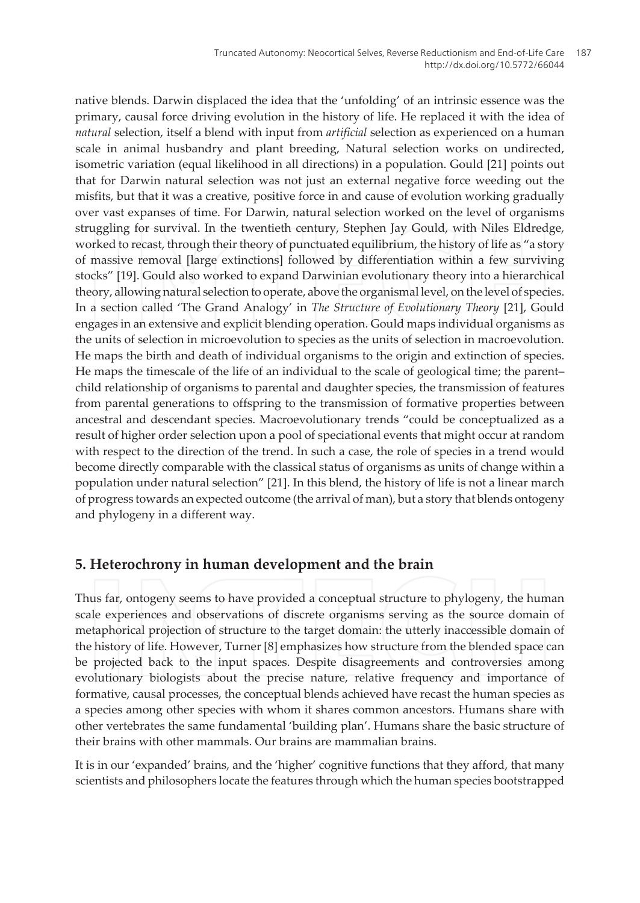native blends. Darwin displaced the idea that the 'unfolding' of an intrinsic essence was the primary, causal force driving evolution in the history of life. He replaced it with the idea of natural selection, itself a blend with input from artificial selection as experienced on a human scale in animal husbandry and plant breeding, Natural selection works on undirected, isometric variation (equal likelihood in all directions) in a population. Gould [21] points out that for Darwin natural selection was not just an external negative force weeding out the misfits, but that it was a creative, positive force in and cause of evolution working gradually over vast expanses of time. For Darwin, natural selection worked on the level of organisms struggling for survival. In the twentieth century, Stephen Jay Gould, with Niles Eldredge, worked to recast, through their theory of punctuated equilibrium, the history of life as "a story of massive removal [large extinctions] followed by differentiation within a few surviving stocks" [19]. Gould also worked to expand Darwinian evolutionary theory into a hierarchical theory, allowing natural selection to operate, above the organismal level, on the level of species. In a section called 'The Grand Analogy' in The Structure of Evolutionary Theory [21], Gould engages in an extensive and explicit blending operation. Gould maps individual organisms as the units of selection in microevolution to species as the units of selection in macroevolution. He maps the birth and death of individual organisms to the origin and extinction of species. He maps the timescale of the life of an individual to the scale of geological time; the parentchild relationship of organisms to parental and daughter species, the transmission of features from parental generations to offspring to the transmission of formative properties between ancestral and descendant species. Macroevolutionary trends "could be conceptualized as a result of higher order selection upon a pool of speciational events that might occur at random with respect to the direction of the trend. In such a case, the role of species in a trend would become directly comparable with the classical status of organisms as units of change within a population under natural selection" [21]. In this blend, the history of life is not a linear march of progress towards an expected outcome (the arrival of man), but a story that blends ontogeny and phylogeny in a different way.

#### 5. Heterochrony in human development and the brain

Thus far, ontogeny seems to have provided a conceptual structure to phylogeny, the human scale experiences and observations of discrete organisms serving as the source domain of metaphorical projection of structure to the target domain: the utterly inaccessible domain of the history of life. However, Turner [8] emphasizes how structure from the blended space can be projected back to the input spaces. Despite disagreements and controversies among evolutionary biologists about the precise nature, relative frequency and importance of formative, causal processes, the conceptual blends achieved have recast the human species as a species among other species with whom it shares common ancestors. Humans share with other vertebrates the same fundamental 'building plan'. Humans share the basic structure of their brains with other mammals. Our brains are mammalian brains.

It is in our 'expanded' brains, and the 'higher' cognitive functions that they afford, that many scientists and philosophers locate the features through which the human species bootstrapped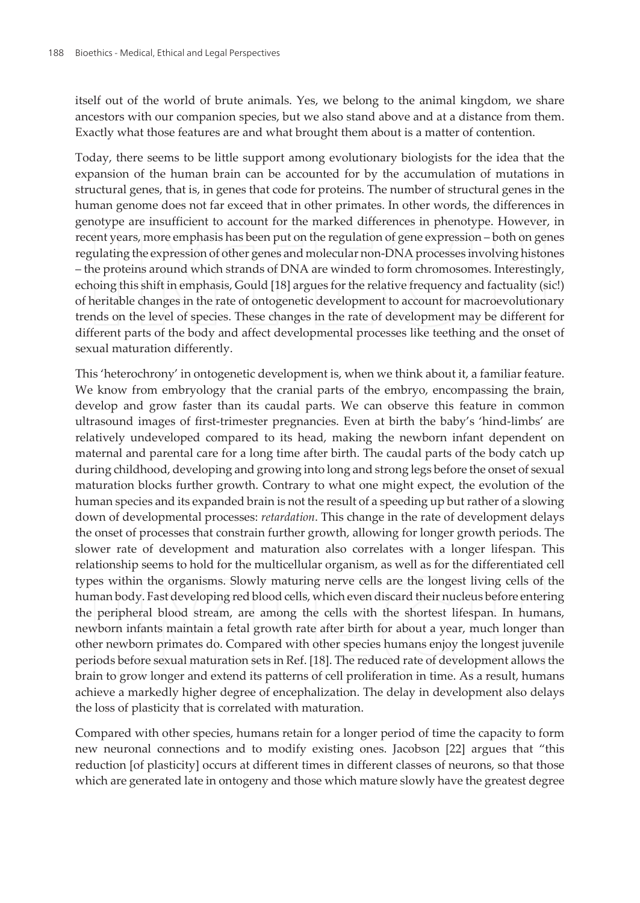itself out of the world of brute animals. Yes, we belong to the animal kingdom, we share ancestors with our companion species, but we also stand above and at a distance from them. Exactly what those features are and what brought them about is a matter of contention.

Today, there seems to be little support among evolutionary biologists for the idea that the expansion of the human brain can be accounted for by the accumulation of mutations in structural genes, that is, in genes that code for proteins. The number of structural genes in the human genome does not far exceed that in other primates. In other words, the differences in genotype are insufficient to account for the marked differences in phenotype. However, in recent years, more emphasis has been put on the regulation of gene expression - both on genes regulating the expression of other genes and molecular non-DNA processes involving histones - the proteins around which strands of DNA are winded to form chromosomes. Interestingly, echoing this shift in emphasis, Gould [18] argues for the relative frequency and factuality (sic!) of heritable changes in the rate of ontogenetic development to account for macroevolutionary trends on the level of species. These changes in the rate of development may be different for different parts of the body and affect developmental processes like teething and the onset of sexual maturation differently.

This 'heterochrony' in ontogenetic development is, when we think about it, a familiar feature. We know from embryology that the cranial parts of the embryo, encompassing the brain, develop and grow faster than its caudal parts. We can observe this feature in common ultrasound images of first-trimester pregnancies. Even at birth the baby's 'hind-limbs' are relatively undeveloped compared to its head, making the newborn infant dependent on maternal and parental care for a long time after birth. The caudal parts of the body catch up during childhood, developing and growing into long and strong legs before the onset of sexual maturation blocks further growth. Contrary to what one might expect, the evolution of the human species and its expanded brain is not the result of a speeding up but rather of a slowing down of developmental processes: retardation. This change in the rate of development delays the onset of processes that constrain further growth, allowing for longer growth periods. The slower rate of development and maturation also correlates with a longer lifespan. This relationship seems to hold for the multicellular organism, as well as for the differentiated cell types within the organisms. Slowly maturing nerve cells are the longest living cells of the human body. Fast developing red blood cells, which even discard their nucleus before entering the peripheral blood stream, are among the cells with the shortest lifespan. In humans, newborn infants maintain a fetal growth rate after birth for about a year, much longer than other newborn primates do. Compared with other species humans enjoy the longest juvenile periods before sexual maturation sets in Ref. [18]. The reduced rate of development allows the brain to grow longer and extend its patterns of cell proliferation in time. As a result, humans achieve a markedly higher degree of encephalization. The delay in development also delays the loss of plasticity that is correlated with maturation.

Compared with other species, humans retain for a longer period of time the capacity to form new neuronal connections and to modify existing ones. Jacobson [22] argues that "this reduction [of plasticity] occurs at different times in different classes of neurons, so that those which are generated late in ontogeny and those which mature slowly have the greatest degree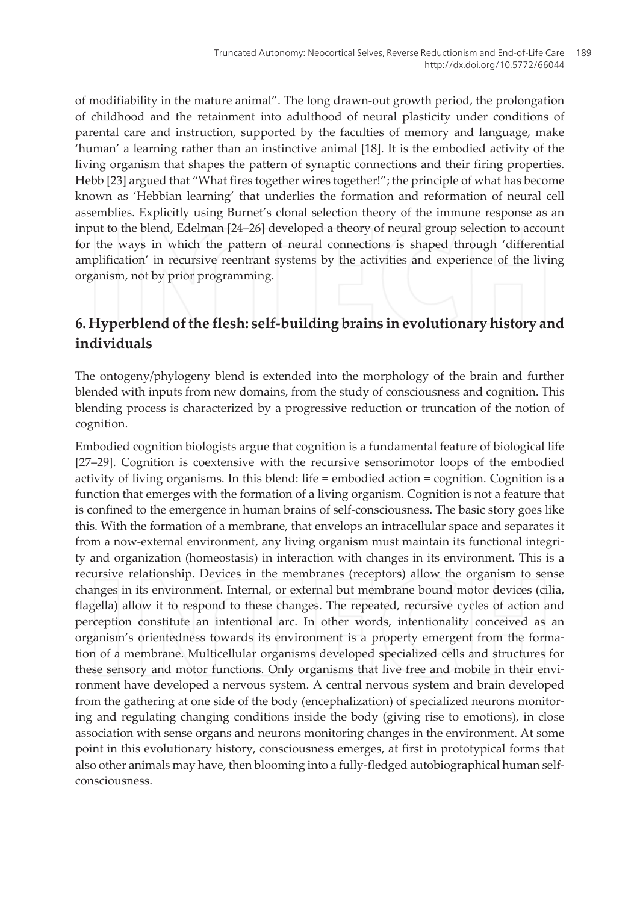of modifiability in the mature animal". The long drawn-out growth period, the prolongation of childhood and the retainment into adulthood of neural plasticity under conditions of parental care and instruction, supported by the faculties of memory and language, make 'human' a learning rather than an instinctive animal [18]. It is the embodied activity of the living organism that shapes the pattern of synaptic connections and their firing properties. Hebb [23] argued that "What fires together wires together!"; the principle of what has become known as 'Hebbian learning' that underlies the formation and reformation of neural cell assemblies. Explicitly using Burnet's clonal selection theory of the immune response as an input to the blend, Edelman [24–26] developed a theory of neural group selection to account for the ways in which the pattern of neural connections is shaped through 'differential amplification' in recursive reentrant systems by the activities and experience of the living organism, not by prior programming.

## 6. Hyperblend of the flesh: self-building brains in evolutionary history and individuals

The ontogeny/phylogeny blend is extended into the morphology of the brain and further blended with inputs from new domains, from the study of consciousness and cognition. This blending process is characterized by a progressive reduction or truncation of the notion of cognition.

Embodied cognition biologists argue that cognition is a fundamental feature of biological life [27–29]. Cognition is coextensive with the recursive sensorimotor loops of the embodied activity of living organisms. In this blend: life = embodied action = cognition. Cognition is a function that emerges with the formation of a living organism. Cognition is not a feature that is confined to the emergence in human brains of self-consciousness. The basic story goes like this. With the formation of a membrane, that envelops an intracellular space and separates it from a now-external environment, any living organism must maintain its functional integrity and organization (homeostasis) in interaction with changes in its environment. This is a recursive relationship. Devices in the membranes (receptors) allow the organism to sense changes in its environment. Internal, or external but membrane bound motor devices (cilia, flagella) allow it to respond to these changes. The repeated, recursive cycles of action and perception constitute an intentional arc. In other words, intentionality conceived as an organism's orientedness towards its environment is a property emergent from the formation of a membrane. Multicellular organisms developed specialized cells and structures for these sensory and motor functions. Only organisms that live free and mobile in their environment have developed a nervous system. A central nervous system and brain developed from the gathering at one side of the body (encephalization) of specialized neurons monitoring and regulating changing conditions inside the body (giving rise to emotions), in close association with sense organs and neurons monitoring changes in the environment. At some point in this evolutionary history, consciousness emerges, at first in prototypical forms that also other animals may have, then blooming into a fully-fledged autobiographical human selfconsciousness.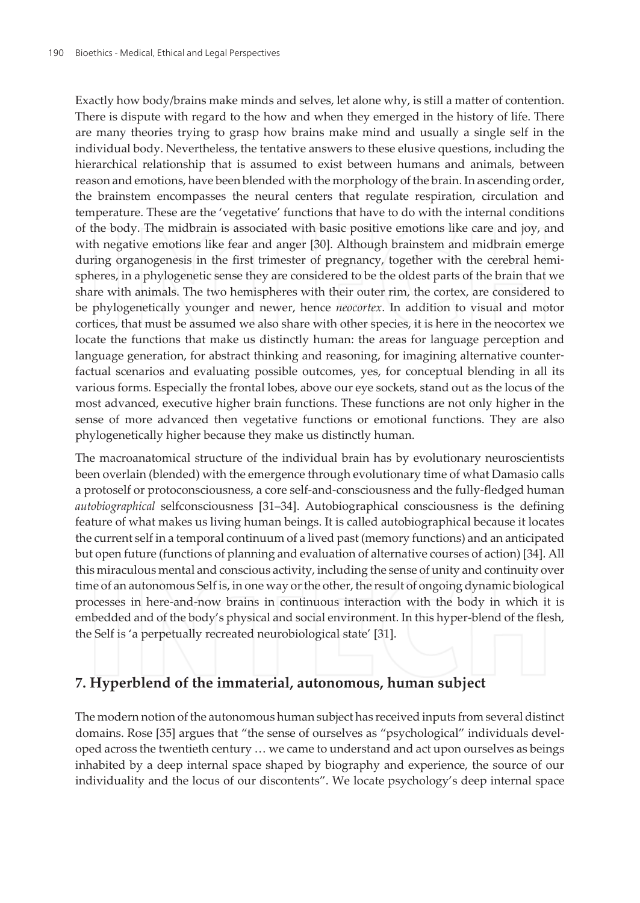Exactly how body/brains make minds and selves, let alone why, is still a matter of contention. There is dispute with regard to the how and when they emerged in the history of life. There are many theories trying to grasp how brains make mind and usually a single self in the individual body. Nevertheless, the tentative answers to these elusive questions, including the hierarchical relationship that is assumed to exist between humans and animals, between reason and emotions, have been blended with the morphology of the brain. In ascending order, the brainstem encompasses the neural centers that regulate respiration, circulation and temperature. These are the 'vegetative' functions that have to do with the internal conditions of the body. The midbrain is associated with basic positive emotions like care and joy, and with negative emotions like fear and anger [30]. Although brainstem and midbrain emerge during organogenesis in the first trimester of pregnancy, together with the cerebral hemispheres, in a phylogenetic sense they are considered to be the oldest parts of the brain that we share with animals. The two hemispheres with their outer rim, the cortex, are considered to be phylogenetically younger and newer, hence *neocortex*. In addition to visual and motor cortices, that must be assumed we also share with other species, it is here in the neocortex we locate the functions that make us distinctly human: the areas for language perception and language generation, for abstract thinking and reasoning, for imagining alternative counterfactual scenarios and evaluating possible outcomes, yes, for conceptual blending in all its various forms. Especially the frontal lobes, above our eye sockets, stand out as the locus of the most advanced, executive higher brain functions. These functions are not only higher in the sense of more advanced then vegetative functions or emotional functions. They are also phylogenetically higher because they make us distinctly human.

The macroanatomical structure of the individual brain has by evolutionary neuroscientists been overlain (blended) with the emergence through evolutionary time of what Damasio calls a protoself or protoconsciousness, a core self-and-consciousness and the fully-fledged human *autobiographical* selfconsciousness [31-34]. Autobiographical consciousness is the defining feature of what makes us living human beings. It is called autobiographical because it locates the current self in a temporal continuum of a lived past (memory functions) and an anticipated but open future (functions of planning and evaluation of alternative courses of action) [34]. All this miraculous mental and conscious activity, including the sense of unity and continuity over time of an autonomous Self is, in one way or the other, the result of ongoing dynamic biological processes in here-and-now brains in continuous interaction with the body in which it is embedded and of the body's physical and social environment. In this hyper-blend of the flesh, the Self is 'a perpetually recreated neurobiological state' [31].

#### 7. Hyperblend of the immaterial, autonomous, human subject

The modern notion of the autonomous human subject has received inputs from several distinct domains. Rose [35] argues that "the sense of ourselves as "psychological" individuals developed across the twentieth century ... we came to understand and act upon ourselves as beings inhabited by a deep internal space shaped by biography and experience, the source of our individuality and the locus of our discontents". We locate psychology's deep internal space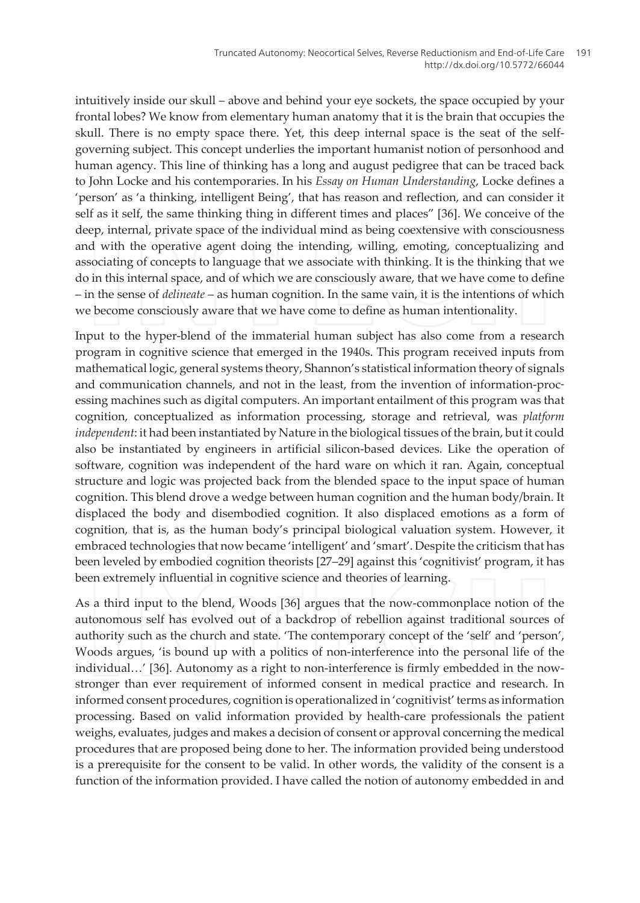intuitively inside our skull – above and behind your eye sockets, the space occupied by your frontal lobes? We know from elementary human anatomy that it is the brain that occupies the skull. There is no empty space there. Yet, this deep internal space is the seat of the selfgoverning subject. This concept underlies the important humanist notion of personhood and human agency. This line of thinking has a long and august pedigree that can be traced back to John Locke and his contemporaries. In his Essay on Human Understanding, Locke defines a 'person' as 'a thinking, intelligent Being', that has reason and reflection, and can consider it self as it self, the same thinking thing in different times and places" [36]. We conceive of the deep, internal, private space of the individual mind as being coextensive with consciousness and with the operative agent doing the intending, willing, emoting, conceptualizing and associating of concepts to language that we associate with thinking. It is the thinking that we do in this internal space, and of which we are consciously aware, that we have come to define  $-$  in the sense of *delineate*  $-$  as human cognition. In the same vain, it is the intentions of which we become consciously aware that we have come to define as human intentionality.

Input to the hyper-blend of the immaterial human subject has also come from a research program in cognitive science that emerged in the 1940s. This program received inputs from mathematical logic, general systems theory, Shannon's statistical information theory of signals and communication channels, and not in the least, from the invention of information-processing machines such as digital computers. An important entailment of this program was that cognition, conceptualized as information processing, storage and retrieval, was platform independent: it had been instantiated by Nature in the biological tissues of the brain, but it could also be instantiated by engineers in artificial silicon-based devices. Like the operation of software, cognition was independent of the hard ware on which it ran. Again, conceptual structure and logic was projected back from the blended space to the input space of human cognition. This blend drove a wedge between human cognition and the human body/brain. It displaced the body and disembodied cognition. It also displaced emotions as a form of cognition, that is, as the human body's principal biological valuation system. However, it embraced technologies that now became 'intelligent' and 'smart'. Despite the criticism that has been leveled by embodied cognition theorists [27-29] against this 'cognitivist' program, it has been extremely influential in cognitive science and theories of learning.

As a third input to the blend, Woods [36] argues that the now-commonplace notion of the autonomous self has evolved out of a backdrop of rebellion against traditional sources of authority such as the church and state. 'The contemporary concept of the 'self' and 'person', Woods argues, 'is bound up with a politics of non-interference into the personal life of the individual...' [36]. Autonomy as a right to non-interference is firmly embedded in the nowstronger than ever requirement of informed consent in medical practice and research. In informed consent procedures, cognition is operationalized in 'cognitivist' terms as information processing. Based on valid information provided by health-care professionals the patient weighs, evaluates, judges and makes a decision of consent or approval concerning the medical procedures that are proposed being done to her. The information provided being understood is a prerequisite for the consent to be valid. In other words, the validity of the consent is a function of the information provided. I have called the notion of autonomy embedded in and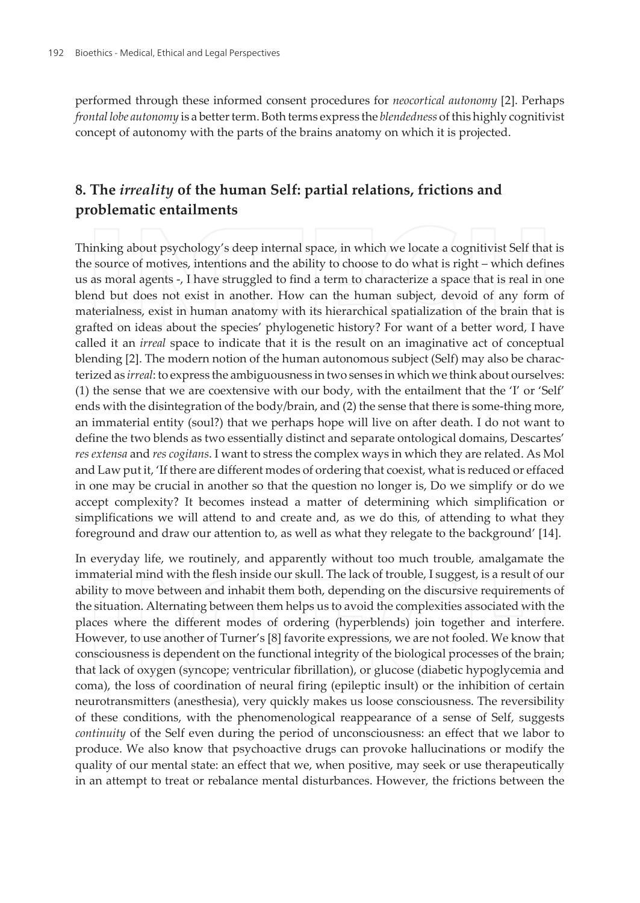performed through these informed consent procedures for *neocortical autonomy* [2]. Perhaps frontal lobe autonomy is a better term. Both terms express the blendedness of this highly cognitivist concept of autonomy with the parts of the brains anatomy on which it is projected.

## 8. The *irreality* of the human Self: partial relations, frictions and problematic entailments

Thinking about psychology's deep internal space, in which we locate a cognitivist Self that is the source of motives, intentions and the ability to choose to do what is right - which defines us as moral agents -, I have struggled to find a term to characterize a space that is real in one blend but does not exist in another. How can the human subject, devoid of any form of materialness, exist in human anatomy with its hierarchical spatialization of the brain that is grafted on ideas about the species' phylogenetic history? For want of a better word, I have called it an *irreal* space to indicate that it is the result on an imaginative act of conceptual blending [2]. The modern notion of the human autonomous subject (Self) may also be characterized as *irreal*: to express the ambiguousness in two senses in which we think about ourselves: (1) the sense that we are coextensive with our body, with the entailment that the 'I' or 'Self' ends with the disintegration of the body/brain, and (2) the sense that there is some-thing more, an immaterial entity (soul?) that we perhaps hope will live on after death. I do not want to define the two blends as two essentially distinct and separate ontological domains, Descartes' res extensa and res cogitans. I want to stress the complex ways in which they are related. As Mol and Law put it, 'If there are different modes of ordering that coexist, what is reduced or effaced in one may be crucial in another so that the question no longer is, Do we simplify or do we accept complexity? It becomes instead a matter of determining which simplification or simplifications we will attend to and create and, as we do this, of attending to what they foreground and draw our attention to, as well as what they relegate to the background' [14].

In everyday life, we routinely, and apparently without too much trouble, amalgamate the immaterial mind with the flesh inside our skull. The lack of trouble, I suggest, is a result of our ability to move between and inhabit them both, depending on the discursive requirements of the situation. Alternating between them helps us to avoid the complexities associated with the places where the different modes of ordering (hyperblends) join together and interfere. However, to use another of Turner's [8] favorite expressions, we are not fooled. We know that consciousness is dependent on the functional integrity of the biological processes of the brain; that lack of oxygen (syncope; ventricular fibrillation), or glucose (diabetic hypoglycemia and coma), the loss of coordination of neural firing (epileptic insult) or the inhibition of certain neurotransmitters (anesthesia), very quickly makes us loose consciousness. The reversibility of these conditions, with the phenomenological reappearance of a sense of Self, suggests *continuity* of the Self even during the period of unconsciousness: an effect that we labor to produce. We also know that psychoactive drugs can provoke hallucinations or modify the quality of our mental state: an effect that we, when positive, may seek or use therapeutically in an attempt to treat or rebalance mental disturbances. However, the frictions between the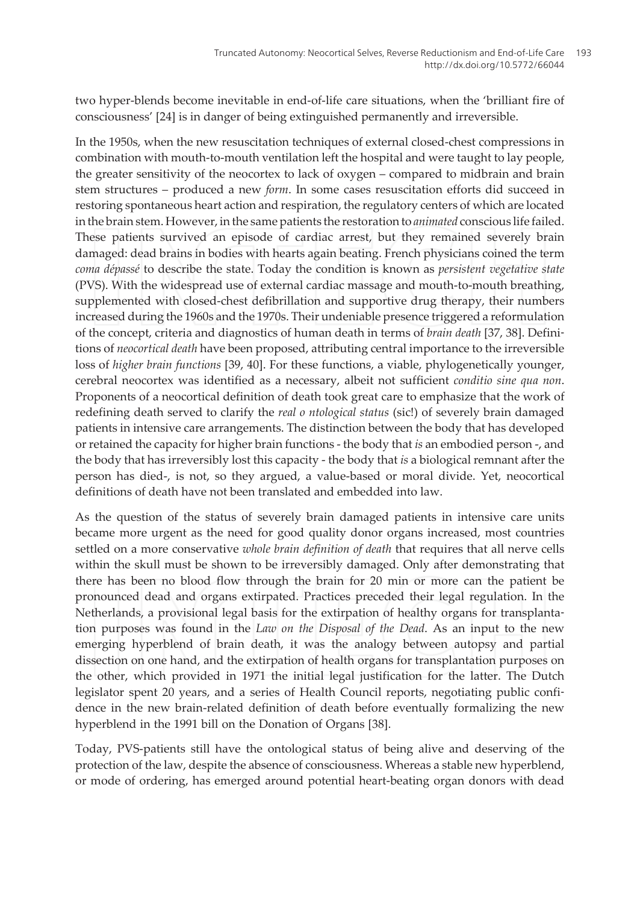two hyper-blends become inevitable in end-of-life care situations, when the 'brilliant fire of consciousness' [24] is in danger of being extinguished permanently and irreversible.

In the 1950s, when the new resuscitation techniques of external closed-chest compressions in combination with mouth-to-mouth ventilation left the hospital and were taught to lay people, the greater sensitivity of the neocortex to lack of oxygen – compared to midbrain and brain stem structures - produced a new *form*. In some cases resuscitation efforts did succeed in restoring spontaneous heart action and respiration, the regulatory centers of which are located in the brain stem. However, in the same patients the restoration to *animated* conscious life failed. These patients survived an episode of cardiac arrest, but they remained severely brain damaged: dead brains in bodies with hearts again beating. French physicians coined the term coma dépassé to describe the state. Today the condition is known as *persistent vegetative state* (PVS). With the widespread use of external cardiac massage and mouth-to-mouth breathing, supplemented with closed-chest defibrillation and supportive drug therapy, their numbers increased during the 1960s and the 1970s. Their undeniable presence triggered a reformulation of the concept, criteria and diagnostics of human death in terms of brain death [37, 38]. Definitions of neocortical death have been proposed, attributing central importance to the irreversible loss of higher brain functions [39, 40]. For these functions, a viable, phylogenetically younger, cerebral neocortex was identified as a necessary, albeit not sufficient conditio sine qua non. Proponents of a neocortical definition of death took great care to emphasize that the work of redefining death served to clarify the real o ntological status (sic!) of severely brain damaged patients in intensive care arrangements. The distinction between the body that has developed or retained the capacity for higher brain functions - the body that is an embodied person -, and the body that has irreversibly lost this capacity - the body that is a biological remnant after the person has died-, is not, so they argued, a value-based or moral divide. Yet, neocortical definitions of death have not been translated and embedded into law.

As the question of the status of severely brain damaged patients in intensive care units became more urgent as the need for good quality donor organs increased, most countries settled on a more conservative whole brain definition of death that requires that all nerve cells within the skull must be shown to be irreversibly damaged. Only after demonstrating that there has been no blood flow through the brain for 20 min or more can the patient be pronounced dead and organs extirpated. Practices preceded their legal regulation. In the Netherlands, a provisional legal basis for the extirpation of healthy organs for transplantation purposes was found in the Law on the Disposal of the Dead. As an input to the new emerging hyperblend of brain death, it was the analogy between autopsy and partial dissection on one hand, and the extirpation of health organs for transplantation purposes on the other, which provided in 1971 the initial legal justification for the latter. The Dutch legislator spent 20 years, and a series of Health Council reports, negotiating public confidence in the new brain-related definition of death before eventually formalizing the new hyperblend in the 1991 bill on the Donation of Organs [38].

Today, PVS-patients still have the ontological status of being alive and deserving of the protection of the law, despite the absence of consciousness. Whereas a stable new hyperblend, or mode of ordering, has emerged around potential heart-beating organ donors with dead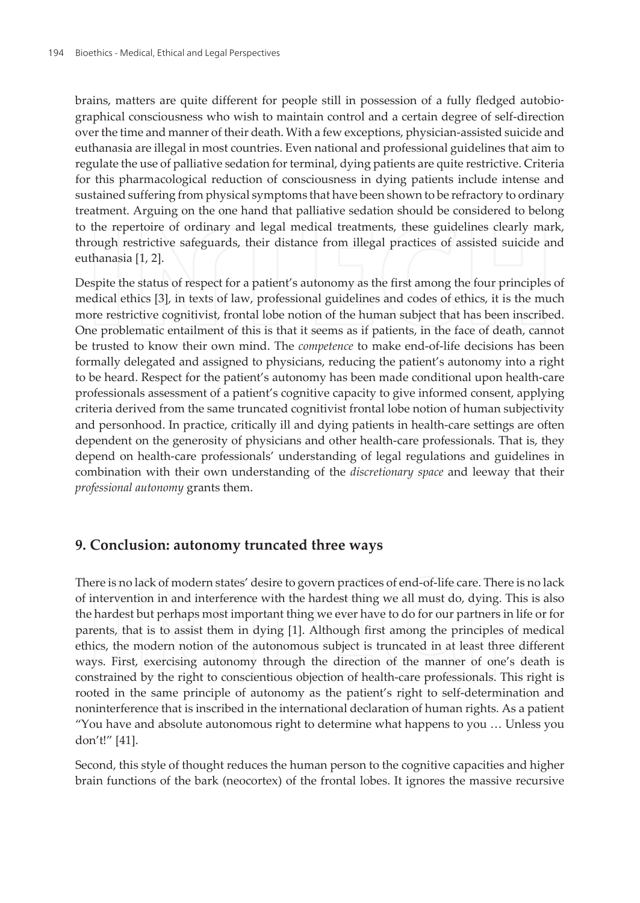brains, matters are quite different for people still in possession of a fully fledged autobiographical consciousness who wish to maintain control and a certain degree of self-direction over the time and manner of their death. With a few exceptions, physician-assisted suicide and euthanasia are illegal in most countries. Even national and professional guidelines that aim to regulate the use of palliative sedation for terminal, dying patients are quite restrictive. Criteria for this pharmacological reduction of consciousness in dying patients include intense and sustained suffering from physical symptoms that have been shown to be refractory to ordinary treatment. Arguing on the one hand that palliative sedation should be considered to belong to the repertoire of ordinary and legal medical treatments, these guidelines clearly mark, through restrictive safeguards, their distance from illegal practices of assisted suicide and euthanasia [1, 2].

Despite the status of respect for a patient's autonomy as the first among the four principles of medical ethics [3], in texts of law, professional guidelines and codes of ethics, it is the much more restrictive cognitivist, frontal lobe notion of the human subject that has been inscribed. One problematic entailment of this is that it seems as if patients, in the face of death, cannot be trusted to know their own mind. The *competence* to make end-of-life decisions has been formally delegated and assigned to physicians, reducing the patient's autonomy into a right to be heard. Respect for the patient's autonomy has been made conditional upon health-care professionals assessment of a patient's cognitive capacity to give informed consent, applying criteria derived from the same truncated cognitivist frontal lobe notion of human subjectivity and personhood. In practice, critically ill and dying patients in health-care settings are often dependent on the generosity of physicians and other health-care professionals. That is, they depend on health-care professionals' understanding of legal regulations and guidelines in combination with their own understanding of the *discretionary space* and leeway that their professional autonomy grants them.

#### 9. Conclusion: autonomy truncated three ways

There is no lack of modern states' desire to govern practices of end-of-life care. There is no lack of intervention in and interference with the hardest thing we all must do, dying. This is also the hardest but perhaps most important thing we ever have to do for our partners in life or for parents, that is to assist them in dying [1]. Although first among the principles of medical ethics, the modern notion of the autonomous subject is truncated in at least three different ways. First, exercising autonomy through the direction of the manner of one's death is constrained by the right to conscientious objection of health-care professionals. This right is rooted in the same principle of autonomy as the patient's right to self-determination and noninterference that is inscribed in the international declaration of human rights. As a patient "You have and absolute autonomous right to determine what happens to you ... Unless you don't!" [41].

Second, this style of thought reduces the human person to the cognitive capacities and higher brain functions of the bark (neocortex) of the frontal lobes. It ignores the massive recursive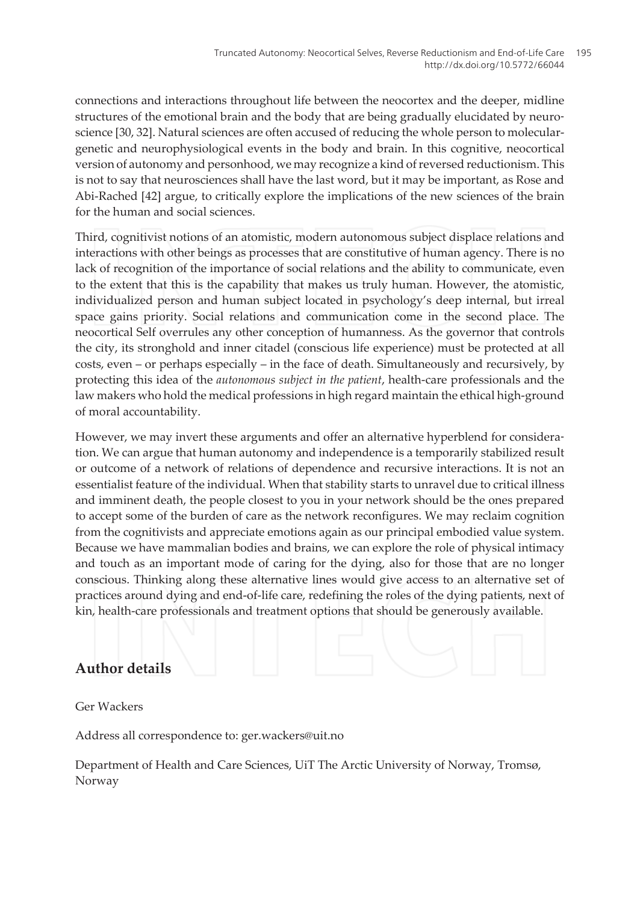connections and interactions throughout life between the neocortex and the deeper, midline structures of the emotional brain and the body that are being gradually elucidated by neuroscience [30, 32]. Natural sciences are often accused of reducing the whole person to moleculargenetic and neurophysiological events in the body and brain. In this cognitive, neocortical version of autonomy and personhood, we may recognize a kind of reversed reductionism. This is not to say that neurosciences shall have the last word, but it may be important, as Rose and Abi-Rached [42] argue, to critically explore the implications of the new sciences of the brain for the human and social sciences.

Third, cognitivist notions of an atomistic, modern autonomous subject displace relations and interactions with other beings as processes that are constitutive of human agency. There is no lack of recognition of the importance of social relations and the ability to communicate, even to the extent that this is the capability that makes us truly human. However, the atomistic, individualized person and human subject located in psychology's deep internal, but irreal space gains priority. Social relations and communication come in the second place. The neocortical Self overrules any other conception of humanness. As the governor that controls the city, its stronghold and inner citadel (conscious life experience) must be protected at all costs, even – or perhaps especially – in the face of death. Simultaneously and recursively, by protecting this idea of the *autonomous subject in the patient*, health-care professionals and the law makers who hold the medical professions in high regard maintain the ethical high-ground of moral accountability.

However, we may invert these arguments and offer an alternative hyperblend for consideration. We can argue that human autonomy and independence is a temporarily stabilized result or outcome of a network of relations of dependence and recursive interactions. It is not an essentialist feature of the individual. When that stability starts to unravel due to critical illness and imminent death, the people closest to you in your network should be the ones prepared to accept some of the burden of care as the network reconfigures. We may reclaim cognition from the cognitivists and appreciate emotions again as our principal embodied value system. Because we have mammalian bodies and brains, we can explore the role of physical intimacy and touch as an important mode of caring for the dying, also for those that are no longer conscious. Thinking along these alternative lines would give access to an alternative set of practices around dying and end-of-life care, redefining the roles of the dying patients, next of kin, health-care professionals and treatment options that should be generously available.

## Author details

Ger Wackers

Address all correspondence to: ger.wackers@uit.no

Department of Health and Care Sciences, UiT The Arctic University of Norway, Tromsø, Norway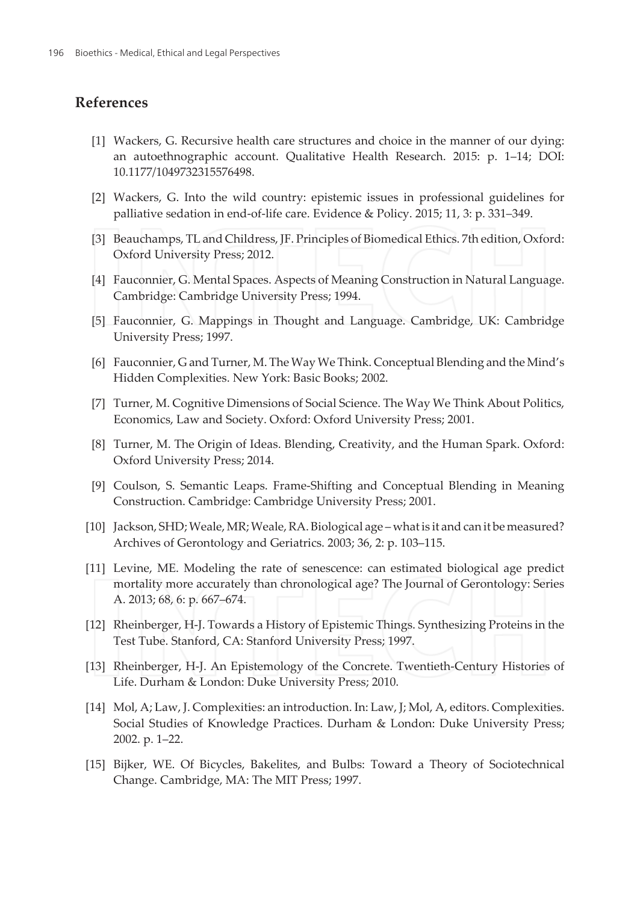### **References**

- [1] Wackers, G. Recursive health care structures and choice in the manner of our dying: an autoethnographic account. Qualitative Health Research. 2015: p. 1-14; DOI: 10.1177/1049732315576498.
- [2] Wackers, G. Into the wild country: epistemic issues in professional guidelines for palliative sedation in end-of-life care. Evidence & Policy. 2015; 11, 3: p. 331-349.
- [3] Beauchamps, TL and Childress, JF. Principles of Biomedical Ethics. 7th edition, Oxford: Oxford University Press; 2012.
- [4] Fauconnier, G. Mental Spaces. Aspects of Meaning Construction in Natural Language. Cambridge: Cambridge University Press; 1994.
- [5] Fauconnier, G. Mappings in Thought and Language. Cambridge, UK: Cambridge University Press; 1997.
- [6] Fauconnier, G and Turner, M. The Way We Think. Conceptual Blending and the Mind's Hidden Complexities. New York: Basic Books; 2002.
- [7] Turner, M. Cognitive Dimensions of Social Science. The Way We Think About Politics, Economics, Law and Society. Oxford: Oxford University Press; 2001.
- [8] Turner, M. The Origin of Ideas. Blending, Creativity, and the Human Spark. Oxford: Oxford University Press; 2014.
- [9] Coulson, S. Semantic Leaps. Frame-Shifting and Conceptual Blending in Meaning Construction. Cambridge: Cambridge University Press; 2001.
- [10] Jackson, SHD; Weale, MR; Weale, RA. Biological age what is it and can it be measured? Archives of Gerontology and Geriatrics. 2003; 36, 2: p. 103-115.
- [11] Levine, ME. Modeling the rate of senescence: can estimated biological age predict mortality more accurately than chronological age? The Journal of Gerontology: Series A. 2013; 68, 6: p. 667-674.
- [12] Rheinberger, H-J. Towards a History of Epistemic Things. Synthesizing Proteins in the Test Tube. Stanford, CA: Stanford University Press; 1997.
- [13] Rheinberger, H-J. An Epistemology of the Concrete. Twentieth-Century Histories of Life. Durham & London: Duke University Press; 2010.
- [14] Mol, A; Law, J. Complexities: an introduction. In: Law, J; Mol, A, editors. Complexities. Social Studies of Knowledge Practices. Durham & London: Duke University Press; 2002. p. 1-22.
- [15] Bijker, WE. Of Bicycles, Bakelites, and Bulbs: Toward a Theory of Sociotechnical Change. Cambridge, MA: The MIT Press; 1997.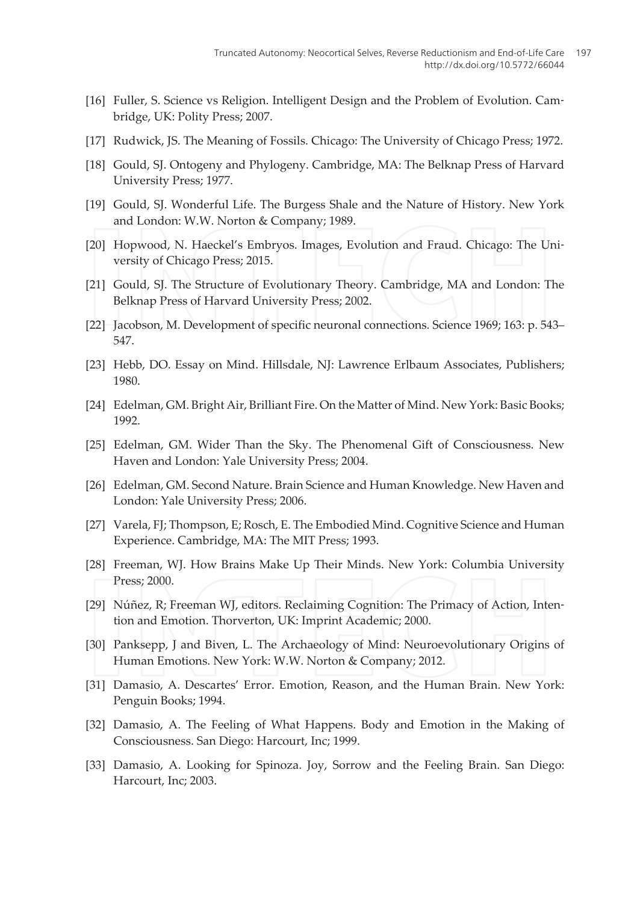- [16] Fuller, S. Science vs Religion. Intelligent Design and the Problem of Evolution. Cambridge, UK: Polity Press; 2007.
- [17] Rudwick, JS. The Meaning of Fossils. Chicago: The University of Chicago Press; 1972.
- [18] Gould, SJ. Ontogeny and Phylogeny. Cambridge, MA: The Belknap Press of Harvard University Press; 1977.
- [19] Gould, SJ. Wonderful Life. The Burgess Shale and the Nature of History. New York and London: W.W. Norton & Company; 1989.
- [20] Hopwood, N. Haeckel's Embryos. Images, Evolution and Fraud. Chicago: The University of Chicago Press; 2015.
- [21] Gould, SJ. The Structure of Evolutionary Theory. Cambridge, MA and London: The Belknap Press of Harvard University Press; 2002.
- [22] Jacobson, M. Development of specific neuronal connections. Science 1969; 163: p. 543– 547.
- [23] Hebb, DO. Essay on Mind. Hillsdale, NJ: Lawrence Erlbaum Associates, Publishers; 1980.
- [24] Edelman, GM. Bright Air, Brilliant Fire. On the Matter of Mind. New York: Basic Books; 1992.
- [25] Edelman, GM. Wider Than the Sky. The Phenomenal Gift of Consciousness. New Haven and London: Yale University Press; 2004.
- [26] Edelman, GM. Second Nature. Brain Science and Human Knowledge. New Haven and London: Yale University Press; 2006.
- [27] Varela, FJ; Thompson, E; Rosch, E. The Embodied Mind. Cognitive Science and Human Experience. Cambridge, MA: The MIT Press; 1993.
- [28] Freeman, WJ. How Brains Make Up Their Minds. New York: Columbia University Press; 2000.
- [29] Núñez, R; Freeman WJ, editors. Reclaiming Cognition: The Primacy of Action, Intention and Emotion. Thorverton, UK: Imprint Academic; 2000.
- [30] Panksepp, J and Biven, L. The Archaeology of Mind: Neuroevolutionary Origins of Human Emotions. New York: W.W. Norton & Company; 2012.
- [31] Damasio, A. Descartes' Error. Emotion, Reason, and the Human Brain. New York: Penguin Books; 1994.
- [32] Damasio, A. The Feeling of What Happens. Body and Emotion in the Making of Consciousness. San Diego: Harcourt, Inc; 1999.
- [33] Damasio, A. Looking for Spinoza. Joy, Sorrow and the Feeling Brain. San Diego: Harcourt, Inc; 2003.